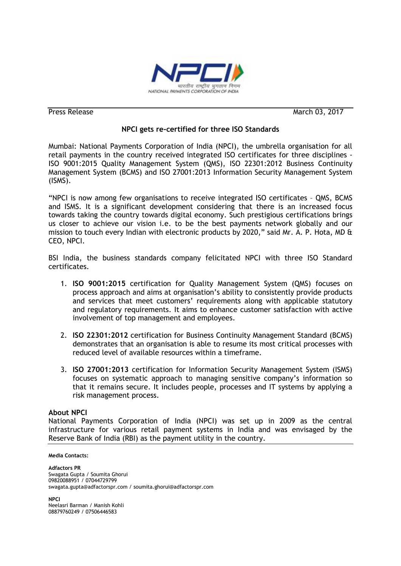

Press Release March 03, 2017

## **NPCI gets re-certified for three ISO Standards**

Mumbai: National Payments Corporation of India (NPCI), the umbrella organisation for all retail payments in the country received integrated ISO certificates for three disciplines - ISO 9001:2015 Quality Management System (QMS), ISO 22301:2012 Business Continuity Management System (BCMS) and ISO 27001:2013 Information Security Management System (ISMS).

"NPCI is now among few organisations to receive integrated ISO certificates – QMS, BCMS and ISMS. It is a significant development considering that there is an increased focus towards taking the country towards digital economy. Such prestigious certifications brings us closer to achieve our vision i.e. to be the best payments network globally and our mission to touch every Indian with electronic products by 2020," said Mr. A. P. Hota, MD  $\&$ CEO, NPCI.

BSI India, the business standards company felicitated NPCI with three ISO Standard certificates.

- 1. **ISO 9001:2015** certification for Quality Management System (QMS) focuses on process approach and aims at organisation's ability to consistently provide products and services that meet customers' requirements along with applicable statutory and regulatory requirements. It aims to enhance customer satisfaction with active involvement of top management and employees.
- 2. **ISO 22301:2012** certification for Business Continuity Management Standard (BCMS) demonstrates that an organisation is able to resume its most critical processes with reduced level of available resources within a timeframe.
- 3. **ISO 27001:2013** certification for Information Security Management System (ISMS) focuses on systematic approach to managing sensitive company's information so that it remains secure. It includes people, processes and IT systems by applying a risk management process.

## **About NPCI**

National Payments Corporation of India (NPCI) was set up in 2009 as the central infrastructure for various retail payment systems in India and was envisaged by the Reserve Bank of India (RBI) as the payment utility in the country.

## **Media Contacts:**

**Adfactors PR** Swagata Gupta / Soumita Ghorui 09820088951 / 07044729799 swagata.gupta@adfactorspr.com / soumita.ghorui@adfactorspr.com

**NPCI** Neelasri Barman / Manish Kohli 08879760249 / 07506446583